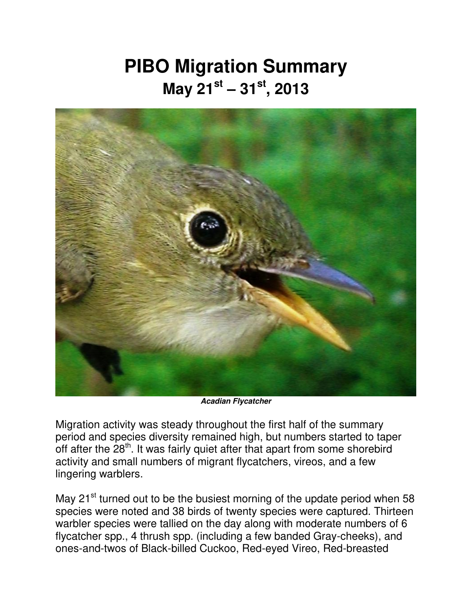## **PIBO Migration Summary May 21st – 31st , 2013**



*Acadian Flycatcher* 

Migration activity was steady throughout the first half of the summary period and species diversity remained high, but numbers started to taper off after the 28<sup>th</sup>. It was fairly quiet after that apart from some shorebird activity and small numbers of migrant flycatchers, vireos, and a few lingering warblers.

May 21<sup>st</sup> turned out to be the busiest morning of the update period when 58 species were noted and 38 birds of twenty species were captured. Thirteen warbler species were tallied on the day along with moderate numbers of 6 flycatcher spp., 4 thrush spp. (including a few banded Gray-cheeks), and ones-and-twos of Black-billed Cuckoo, Red-eyed Vireo, Red-breasted